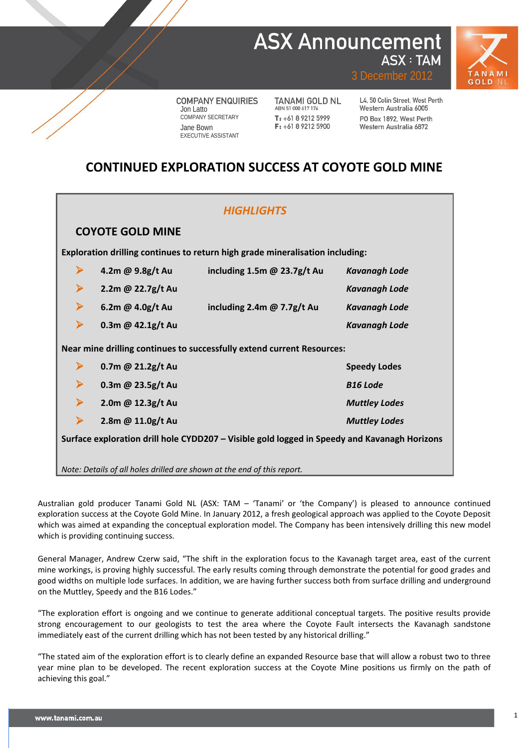### **ASX Announcement ASX: TAM**



3 December 2012

**COMPANY ENQUIRIES** Jon Latto COMPANY SECRETARY Jane Bown EXECUTIVE ASSISTANT

**TANAMI GOLD NL** ABN 51 000 617 176  $T: +61892125999$ F: +61 8 9212 5900

L4, 50 Colin Street, West Perth Western Australia 6005 PO Box 1892 West Perth Western Australia 6872

### **CONTINUED EXPLORATION SUCCESS AT COYOTE GOLD MINE**

| <b>HIGHLIGHTS</b>                                                                            |                                                                        |                               |                      |  |  |  |  |  |  |  |
|----------------------------------------------------------------------------------------------|------------------------------------------------------------------------|-------------------------------|----------------------|--|--|--|--|--|--|--|
| <b>COYOTE GOLD MINE</b>                                                                      |                                                                        |                               |                      |  |  |  |  |  |  |  |
| Exploration drilling continues to return high grade mineralisation including:                |                                                                        |                               |                      |  |  |  |  |  |  |  |
| ➤                                                                                            | 4.2m @ 9.8g/t Au                                                       | including 1.5m $@$ 23.7g/t Au | <b>Kavanagh Lode</b> |  |  |  |  |  |  |  |
| ➤                                                                                            | 2.2m @ 22.7g/t Au                                                      |                               | <b>Kavanagh Lode</b> |  |  |  |  |  |  |  |
| ➤                                                                                            | 6.2m @ 4.0g/t Au                                                       | including 2.4m $@$ 7.7g/t Au  | <b>Kavanagh Lode</b> |  |  |  |  |  |  |  |
| $\blacktriangleright$                                                                        | 0.3m @ 42.1g/t Au                                                      |                               | <b>Kavanagh Lode</b> |  |  |  |  |  |  |  |
|                                                                                              | Near mine drilling continues to successfully extend current Resources: |                               |                      |  |  |  |  |  |  |  |
| ➤                                                                                            | 0.7m @ 21.2g/t Au                                                      |                               | <b>Speedy Lodes</b>  |  |  |  |  |  |  |  |
| ➤                                                                                            | 0.3m @ 23.5g/t Au                                                      |                               | <b>B16 Lode</b>      |  |  |  |  |  |  |  |
| ➤                                                                                            | 2.0m @ 12.3g/t Au                                                      |                               | <b>Muttley Lodes</b> |  |  |  |  |  |  |  |
| $\blacktriangleright$                                                                        | 2.8m @ 11.0g/t Au                                                      |                               | <b>Muttley Lodes</b> |  |  |  |  |  |  |  |
| Surface exploration drill hole CYDD207 - Visible gold logged in Speedy and Kavanagh Horizons |                                                                        |                               |                      |  |  |  |  |  |  |  |
| Note: Details of all holes drilled are shown at the end of this report.                      |                                                                        |                               |                      |  |  |  |  |  |  |  |

Australian gold producer Tanami Gold NL (ASX: TAM – 'Tanami' or 'the Company') is pleased to announce continued exploration success at the Coyote Gold Mine. In January 2012, a fresh geological approach was applied to the Coyote Deposit which was aimed at expanding the conceptual exploration model. The Company has been intensively drilling this new model which is providing continuing success.

General Manager, Andrew Czerw said, "The shift in the exploration focus to the Kavanagh target area, east of the current mine workings, is proving highly successful. The early results coming through demonstrate the potential for good grades and good widths on multiple lode surfaces. In addition, we are having further success both from surface drilling and underground on the Muttley, Speedy and the B16 Lodes."

"The exploration effort is ongoing and we continue to generate additional conceptual targets. The positive results provide strong encouragement to our geologists to test the area where the Coyote Fault intersects the Kavanagh sandstone immediately east of the current drilling which has not been tested by any historical drilling."

"The stated aim of the exploration effort is to clearly define an expanded Resource base that will allow a robust two to three year mine plan to be developed. The recent exploration success at the Coyote Mine positions us firmly on the path of achieving this goal."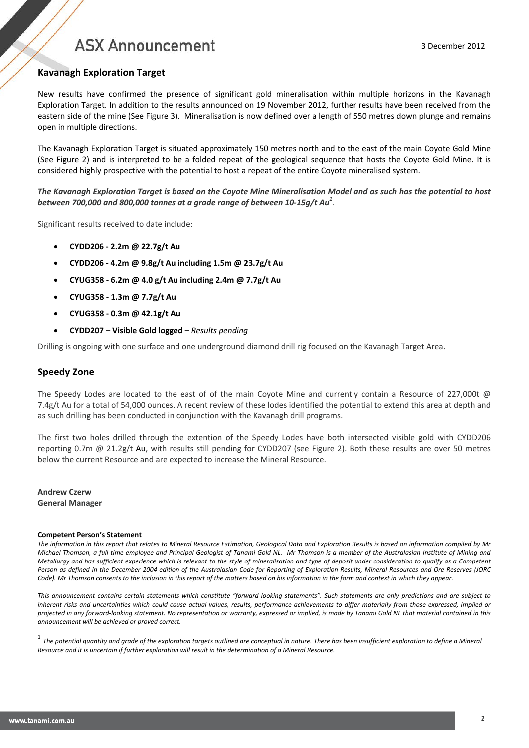### **Kavanagh Exploration Target**

New results have confirmed the presence of significant gold mineralisation within multiple horizons in the Kavanagh Exploration Target. In addition to the results announced on 19 November 2012, further results have been received from the eastern side of the mine (See Figure 3). Mineralisation is now defined over a length of 550 metres down plunge and remains open in multiple directions.

The Kavanagh Exploration Target is situated approximately 150 metres north and to the east of the main Coyote Gold Mine (See Figure 2) and is interpreted to be a folded repeat of the geological sequence that hosts the Coyote Gold Mine. It is considered highly prospective with the potential to host a repeat of the entire Coyote mineralised system.

*The Kavanagh Exploration Target is based on the Coyote Mine Mineralisation Model and as such has the potential to host between 700,000 and 800,000 tonnes at a grade range of between 10-15g/t Au1 .*

Significant results received to date include:

- **CYDD206 - 2.2m @ 22.7g/t Au**
- **CYDD206 - 4.2m @ 9.8g/t Au including 1.5m @ 23.7g/t Au**
- **CYUG358 - 6.2m @ 4.0 g/t Au including 2.4m @ 7.7g/t Au**
- **CYUG358 - 1.3m @ 7.7g/t Au**
- **CYUG358 - 0.3m @ 42.1g/t Au**
- **CYDD207 – Visible Gold logged –** *Results pending*

Drilling is ongoing with one surface and one underground diamond drill rig focused on the Kavanagh Target Area.

### **Speedy Zone**

The Speedy Lodes are located to the east of of the main Coyote Mine and currently contain a Resource of 227,000t  $\omega$ 7.4g/t Au for a total of 54,000 ounces. A recent review of these lodes identified the potential to extend this area at depth and as such drilling has been conducted in conjunction with the Kavanagh drill programs.

The first two holes drilled through the extention of the Speedy Lodes have both intersected visible gold with CYDD206 reporting 0.7m @ 21.2g/t Au, with results still pending for CYDD207 (see Figure 2). Both these results are over 50 metres below the current Resource and are expected to increase the Mineral Resource.

**Andrew Czerw General Manager**

#### **Competent Person's Statement**

*The information in this report that relates to Mineral Resource Estimation, Geological Data and Exploration Results is based on information compiled by Mr Michael Thomson, a full time employee and Principal Geologist of Tanami Gold NL. Mr Thomson is a member of the Australasian Institute of Mining and Metallurgy and has sufficient experience which is relevant to the style of mineralisation and type of deposit under consideration to qualify as a Competent Person as defined in the December 2004 edition of the Australasian Code for Reporting of Exploration Results, Mineral Resources and Ore Reserves (JORC Code). Mr Thomson consents to the inclusion in this report of the matters based on his information in the form and context in which they appear.*

*This announcement contains certain statements which constitute "forward looking statements". Such statements are only predictions and are subject to inherent risks and uncertainties which could cause actual values, results, performance achievements to differ materially from those expressed, implied or projected in any forward-looking statement. No representation or warranty, expressed or implied, is made by Tanami Gold NL that material contained in this announcement will be achieved or proved correct.*

<sup>1</sup> *The potential quantity and grade of the exploration targets outlined are conceptual in nature. There has been insufficient exploration to define a Mineral Resource and it is uncertain if further exploration will result in the determination of a Mineral Resource.*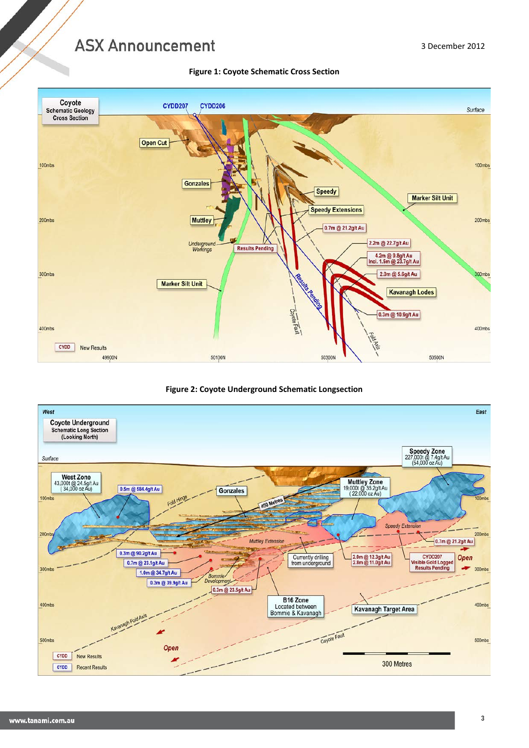49900N



**Figure 2: Coyote Underground Schematic Longsection**

50100N

50300N



50500N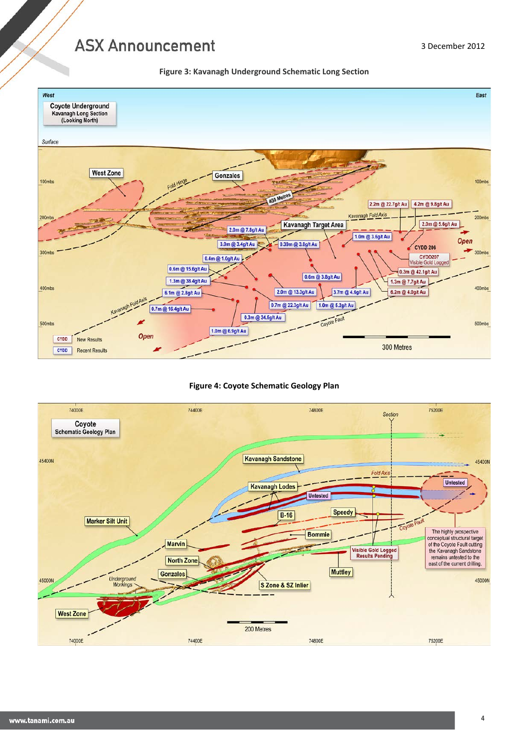



### **Figure 4: Coyote Schematic Geology Plan**